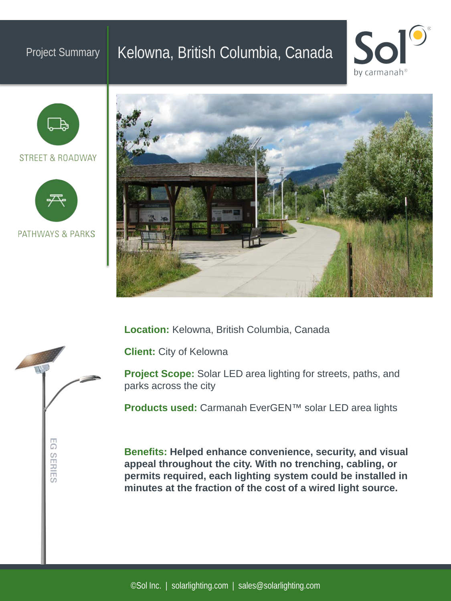## Project Summary | Kelowna, British Columbia, Canada







PATHWAYS & PARKS



**Location:** Kelowna, British Columbia, Canada

**Client:** City of Kelowna

**Project Scope:** Solar LED area lighting for streets, paths, and parks across the city

**Products used:** Carmanah EverGEN™ solar LED area lights

**Benefits: Helped enhance convenience, security, and visual appeal throughout the city. With no trenching, cabling, or permits required, each lighting system could be installed in minutes at the fraction of the cost of a wired light source.**